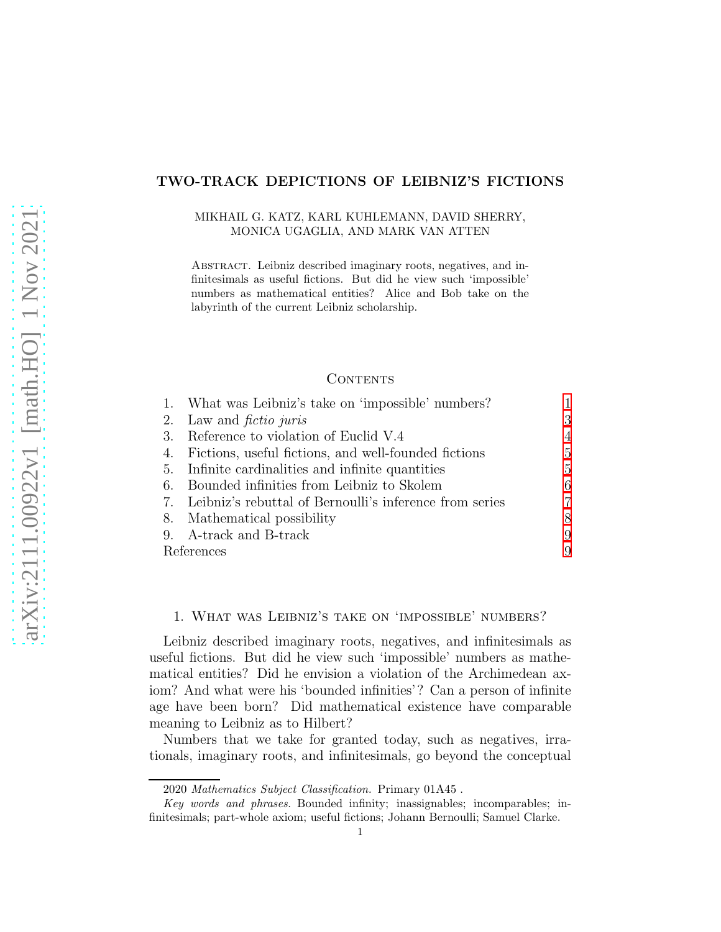# TWO-TRACK DEPICTIONS OF LEIBNIZ'S FICTIONS

### MIKHAIL G. KATZ, KARL KUHLEMANN, DAVID SHERRY, MONICA UGAGLIA, AND MARK VAN ATTEN

Abstract. Leibniz described imaginary roots, negatives, and infinitesimals as useful fictions. But did he view such 'impossible' numbers as mathematical entities? Alice and Bob take on the labyrinth of the current Leibniz scholarship.

### CONTENTS

|            | 1. What was Leibniz's take on 'impossible' numbers?     |   |
|------------|---------------------------------------------------------|---|
| 2.         | Law and <i>fictio juris</i>                             | 3 |
| 3.         | Reference to violation of Euclid V.4                    | 4 |
| 4.         | Fictions, useful fictions, and well-founded fictions    | 5 |
| -5.        | Infinite cardinalities and infinite quantities          | 5 |
| 6.         | Bounded infinities from Leibniz to Skolem               | 6 |
| 7.         | Leibniz's rebuttal of Bernoulli's inference from series |   |
|            | 8. Mathematical possibility                             | 8 |
|            | 9. A-track and B-track                                  | 9 |
| References |                                                         | 9 |

### <span id="page-0-0"></span>1. What was Leibniz's take on 'impossible' numbers?

Leibniz described imaginary roots, negatives, and infinitesimals as useful fictions. But did he view such 'impossible' numbers as mathematical entities? Did he envision a violation of the Archimedean axiom? And what were his 'bounded infinities'? Can a person of infinite age have been born? Did mathematical existence have comparable meaning to Leibniz as to Hilbert?

Numbers that we take for granted today, such as negatives, irrationals, imaginary roots, and infinitesimals, go beyond the conceptual

<sup>2020</sup> Mathematics Subject Classification. Primary 01A45 .

Key words and phrases. Bounded infinity; inassignables; incomparables; infinitesimals; part-whole axiom; useful fictions; Johann Bernoulli; Samuel Clarke.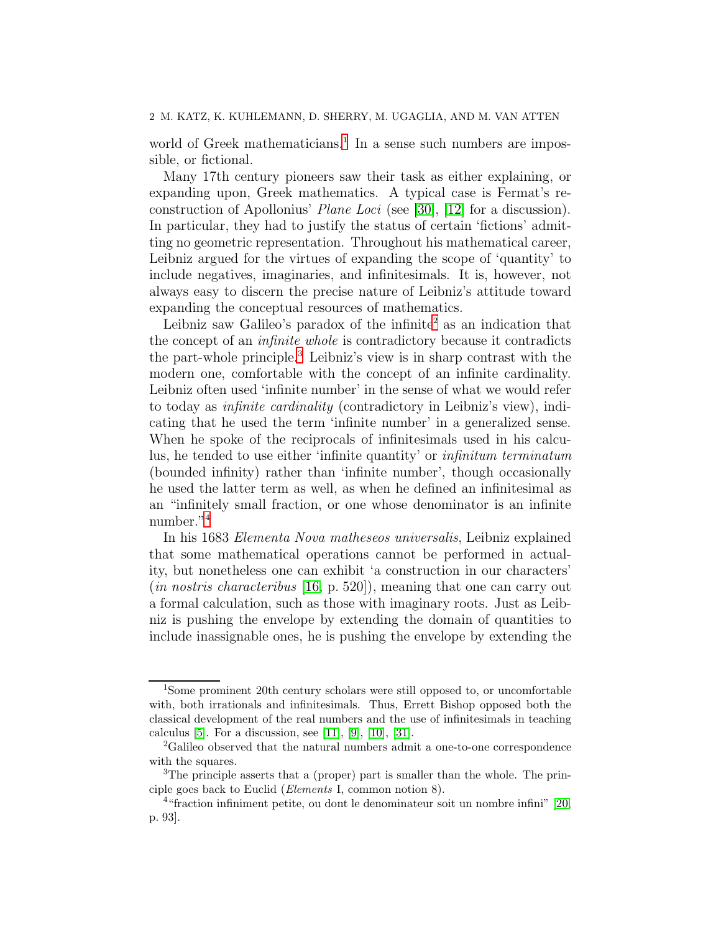world of Greek mathematicians.<sup>[1](#page-1-0)</sup> In a sense such numbers are impossible, or fictional.

Many 17th century pioneers saw their task as either explaining, or expanding upon, Greek mathematics. A typical case is Fermat's reconstruction of Apollonius' Plane Loci (see [\[30\]](#page-10-0), [\[12\]](#page-9-0) for a discussion). In particular, they had to justify the status of certain 'fictions' admitting no geometric representation. Throughout his mathematical career, Leibniz argued for the virtues of expanding the scope of 'quantity' to include negatives, imaginaries, and infinitesimals. It is, however, not always easy to discern the precise nature of Leibniz's attitude toward expanding the conceptual resources of mathematics.

Leibniz saw Galileo's paradox of the infinite<sup>[2](#page-1-1)</sup> as an indication that the concept of an infinite whole is contradictory because it contradicts the part-whole principle.[3](#page-1-2) Leibniz's view is in sharp contrast with the modern one, comfortable with the concept of an infinite cardinality. Leibniz often used 'infinite number' in the sense of what we would refer to today as infinite cardinality (contradictory in Leibniz's view), indicating that he used the term 'infinite number' in a generalized sense. When he spoke of the reciprocals of infinitesimals used in his calculus, he tended to use either 'infinite quantity' or infinitum terminatum (bounded infinity) rather than 'infinite number', though occasionally he used the latter term as well, as when he defined an infinitesimal as an "infinitely small fraction, or one whose denominator is an infinite number."[4](#page-1-3)

In his 1683 Elementa Nova matheseos universalis, Leibniz explained that some mathematical operations cannot be performed in actuality, but nonetheless one can exhibit 'a construction in our characters' (in nostris characteribus [\[16,](#page-9-1) p. 520]), meaning that one can carry out a formal calculation, such as those with imaginary roots. Just as Leibniz is pushing the envelope by extending the domain of quantities to include inassignable ones, he is pushing the envelope by extending the

<span id="page-1-0"></span><sup>&</sup>lt;sup>1</sup>Some prominent 20th century scholars were still opposed to, or uncomfortable with, both irrationals and infinitesimals. Thus, Errett Bishop opposed both the classical development of the real numbers and the use of infinitesimals in teaching calculus [\[5\]](#page-9-2). For a discussion, see [\[11\]](#page-9-3), [\[9\]](#page-9-4), [\[10\]](#page-9-5), [\[31\]](#page-10-1).

<span id="page-1-1"></span><sup>&</sup>lt;sup>2</sup>Galileo observed that the natural numbers admit a one-to-one correspondence with the squares.

<span id="page-1-2"></span><sup>&</sup>lt;sup>3</sup>The principle asserts that a (proper) part is smaller than the whole. The principle goes back to Euclid (Elements I, common notion 8).

<span id="page-1-3"></span><sup>4</sup> "fraction infiniment petite, ou dont le denominateur soit un nombre infini" [\[20,](#page-10-2) p. 93].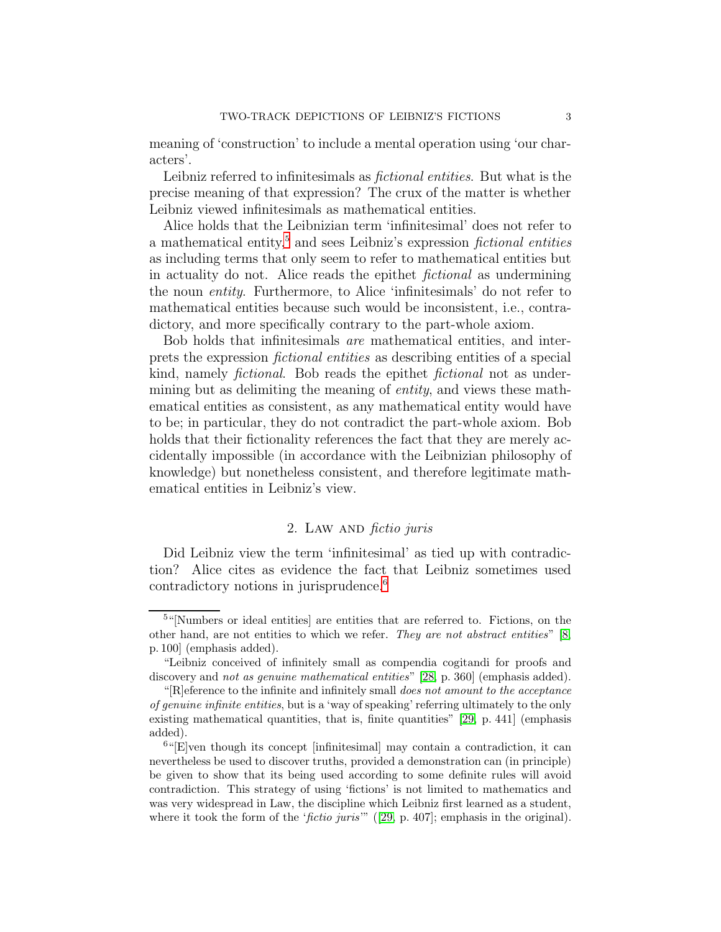meaning of 'construction' to include a mental operation using 'our characters'.

Leibniz referred to infinitesimals as fictional entities. But what is the precise meaning of that expression? The crux of the matter is whether Leibniz viewed infinitesimals as mathematical entities.

Alice holds that the Leibnizian term 'infinitesimal' does not refer to a mathematical entity,<sup>[5](#page-2-1)</sup> and sees Leibniz's expression *fictional entities* as including terms that only seem to refer to mathematical entities but in actuality do not. Alice reads the epithet fictional as undermining the noun entity. Furthermore, to Alice 'infinitesimals' do not refer to mathematical entities because such would be inconsistent, i.e., contradictory, and more specifically contrary to the part-whole axiom.

Bob holds that infinitesimals are mathematical entities, and interprets the expression fictional entities as describing entities of a special kind, namely *fictional*. Bob reads the epithet *fictional* not as undermining but as delimiting the meaning of entity, and views these mathematical entities as consistent, as any mathematical entity would have to be; in particular, they do not contradict the part-whole axiom. Bob holds that their fictionality references the fact that they are merely accidentally impossible (in accordance with the Leibnizian philosophy of knowledge) but nonetheless consistent, and therefore legitimate mathematical entities in Leibniz's view.

# 2. LAW AND *fictio juris*

<span id="page-2-0"></span>Did Leibniz view the term 'infinitesimal' as tied up with contradiction? Alice cites as evidence the fact that Leibniz sometimes used contradictory notions in jurisprudence.[6](#page-2-2)

<span id="page-2-1"></span><sup>&</sup>lt;sup>5</sup>"[Numbers or ideal entities] are entities that are referred to. Fictions, on the other hand, are not entities to which we refer. They are not abstract entities" [\[8,](#page-9-6) p. 100] (emphasis added).

<sup>&</sup>quot;Leibniz conceived of infinitely small as compendia cogitandi for proofs and discovery and *not as genuine mathematical entities*" [\[28,](#page-10-3) p. 360] (emphasis added).

<sup>&</sup>quot;[R]eference to the infinite and infinitely small does not amount to the acceptance of genuine infinite entities, but is a 'way of speaking' referring ultimately to the only existing mathematical quantities, that is, finite quantities" [\[29,](#page-10-4) p. 441] (emphasis added).

<span id="page-2-2"></span> $^{6}$ "[E]ven though its concept [infinitesimal] may contain a contradiction, it can nevertheless be used to discover truths, provided a demonstration can (in principle) be given to show that its being used according to some definite rules will avoid contradiction. This strategy of using 'fictions' is not limited to mathematics and was very widespread in Law, the discipline which Leibniz first learned as a student, where it took the form of the '*fictio juris*'" ([\[29,](#page-10-4) p. 407]; emphasis in the original).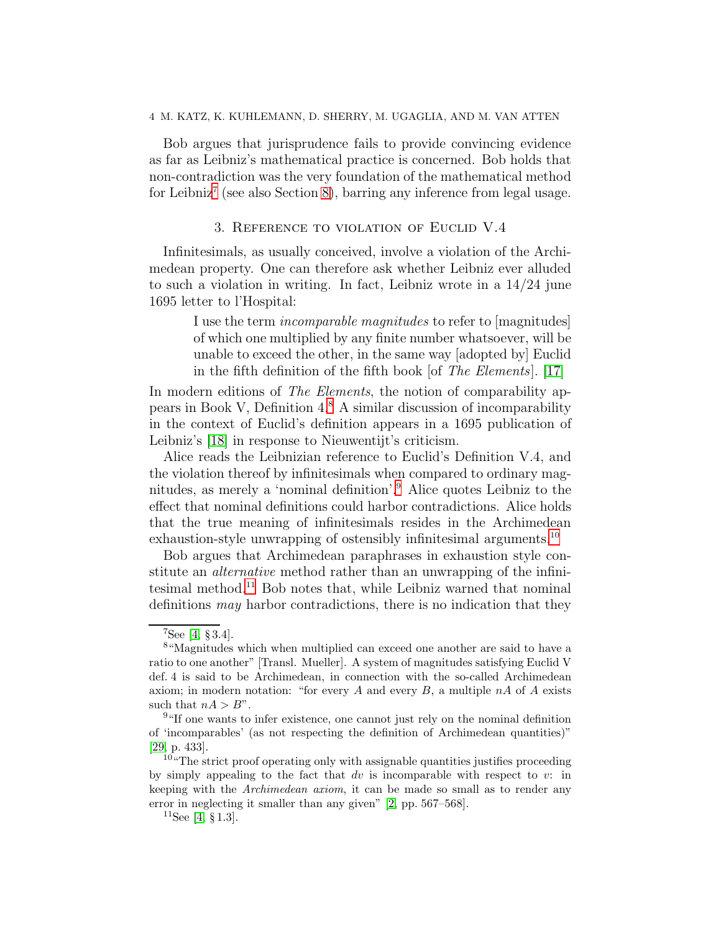### 4 M. KATZ, K. KUHLEMANN, D. SHERRY, M. UGAGLIA, AND M. VAN ATTEN

Bob argues that jurisprudence fails to provide convincing evidence as far as Leibniz's mathematical practice is concerned. Bob holds that non-contradiction was the very foundation of the mathematical method for Leibniz<sup>[7](#page-3-1)</sup> (see also Section [8\)](#page-7-0), barring any inference from legal usage.

## 3. Reference to violation of Euclid V.4

<span id="page-3-0"></span>Infinitesimals, as usually conceived, involve a violation of the Archimedean property. One can therefore ask whether Leibniz ever alluded to such a violation in writing. In fact, Leibniz wrote in a 14/24 june 1695 letter to l'Hospital:

> I use the term incomparable magnitudes to refer to [magnitudes] of which one multiplied by any finite number whatsoever, will be unable to exceed the other, in the same way [adopted by] Euclid in the fifth definition of the fifth book [of The Elements]. [\[17\]](#page-9-7)

In modern editions of *The Elements*, the notion of comparability appears in Book V, Definition 4.[8](#page-3-2) A similar discussion of incomparability in the context of Euclid's definition appears in a 1695 publication of Leibniz's [\[18\]](#page-9-8) in response to Nieuwentijt's criticism.

Alice reads the Leibnizian reference to Euclid's Definition V.4, and the violation thereof by infinitesimals when compared to ordinary magnitudes, as merely a 'nominal definition'.[9](#page-3-3) Alice quotes Leibniz to the effect that nominal definitions could harbor contradictions. Alice holds that the true meaning of infinitesimals resides in the Archimedean exhaustion-style unwrapping of ostensibly infinitesimal arguments.<sup>[10](#page-3-4)</sup>

Bob argues that Archimedean paraphrases in exhaustion style constitute an alternative method rather than an unwrapping of the infinitesimal method.[11](#page-3-5) Bob notes that, while Leibniz warned that nominal definitions may harbor contradictions, there is no indication that they

<span id="page-3-1"></span> $7$ See [\[4,](#page-9-9) § 3.4].

<span id="page-3-2"></span><sup>8</sup> "Magnitudes which when multiplied can exceed one another are said to have a ratio to one another" [Transl. Mueller]. A system of magnitudes satisfying Euclid V def. 4 is said to be Archimedean, in connection with the so-called Archimedean axiom; in modern notation: "for every A and every  $B$ , a multiple  $nA$  of A exists such that  $nA > B$ ".

<span id="page-3-3"></span><sup>&</sup>lt;sup>9</sup>"If one wants to infer existence, one cannot just rely on the nominal definition of 'incomparables' (as not respecting the definition of Archimedean quantities)" [\[29,](#page-10-4) p. 433].

<span id="page-3-4"></span><sup>&</sup>lt;sup>10</sup>"The strict proof operating only with assignable quantities justifies proceeding by simply appealing to the fact that  $dv$  is incomparable with respect to  $v$ : in keeping with the Archimedean axiom, it can be made so small as to render any error in neglecting it smaller than any given" [\[2,](#page-8-2) pp. 567–568].

<span id="page-3-5"></span> $^{11}$ See [\[4,](#page-9-9) § 1.3].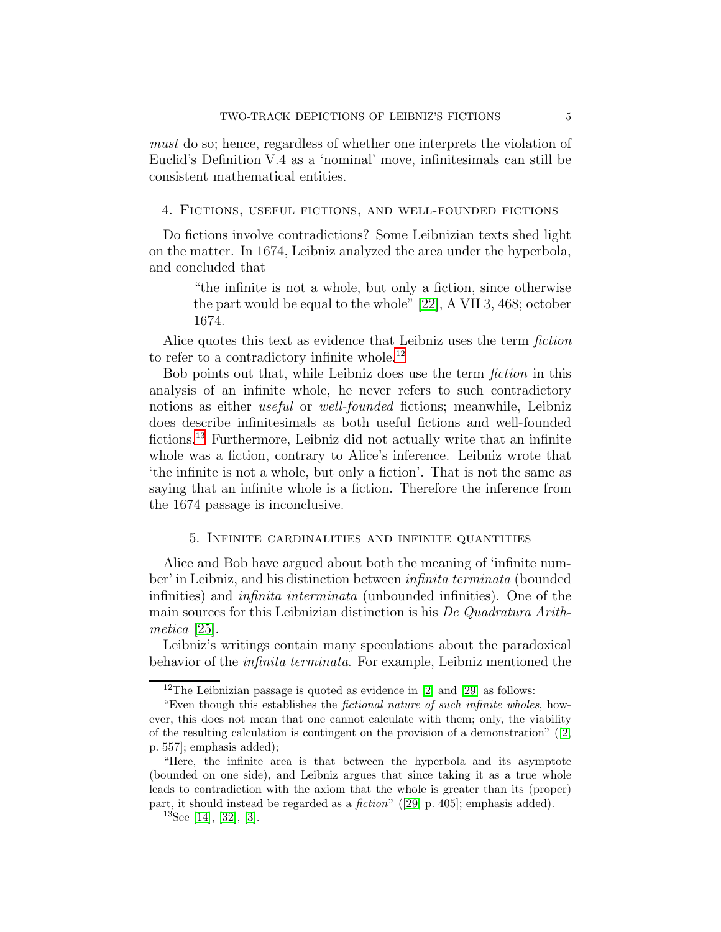must do so; hence, regardless of whether one interprets the violation of Euclid's Definition V.4 as a 'nominal' move, infinitesimals can still be consistent mathematical entities.

<span id="page-4-0"></span>4. Fictions, useful fictions, and well-founded fictions

Do fictions involve contradictions? Some Leibnizian texts shed light on the matter. In 1674, Leibniz analyzed the area under the hyperbola, and concluded that

> "the infinite is not a whole, but only a fiction, since otherwise the part would be equal to the whole" [\[22\]](#page-10-5), A VII 3, 468; october 1674.

Alice quotes this text as evidence that Leibniz uses the term *fiction* to refer to a contradictory infinite whole.<sup>[12](#page-4-2)</sup>

Bob points out that, while Leibniz does use the term fiction in this analysis of an infinite whole, he never refers to such contradictory notions as either useful or well-founded fictions; meanwhile, Leibniz does describe infinitesimals as both useful fictions and well-founded fictions.[13](#page-4-3) Furthermore, Leibniz did not actually write that an infinite whole was a fiction, contrary to Alice's inference. Leibniz wrote that 'the infinite is not a whole, but only a fiction'. That is not the same as saying that an infinite whole is a fiction. Therefore the inference from the 1674 passage is inconclusive.

### <span id="page-4-1"></span>5. Infinite cardinalities and infinite quantities

Alice and Bob have argued about both the meaning of 'infinite number' in Leibniz, and his distinction between infinita terminata (bounded infinities) and infinita interminata (unbounded infinities). One of the main sources for this Leibnizian distinction is his De Quadratura Arithmetica [\[25\]](#page-10-6).

Leibniz's writings contain many speculations about the paradoxical behavior of the infinita terminata. For example, Leibniz mentioned the

<span id="page-4-2"></span><sup>&</sup>lt;sup>12</sup>The Leibnizian passage is quoted as evidence in  $[2]$  and  $[29]$  as follows:

<sup>&</sup>quot;Even though this establishes the fictional nature of such infinite wholes, however, this does not mean that one cannot calculate with them; only, the viability of the resulting calculation is contingent on the provision of a demonstration"  $(2, 1)$ p. 557]; emphasis added);

<sup>&</sup>quot;Here, the infinite area is that between the hyperbola and its asymptote (bounded on one side), and Leibniz argues that since taking it as a true whole leads to contradiction with the axiom that the whole is greater than its (proper) part, it should instead be regarded as a fiction" ([\[29,](#page-10-4) p. 405]; emphasis added).

<span id="page-4-3"></span> $13$ See [\[14\]](#page-9-10), [\[32\]](#page-10-7), [\[3\]](#page-9-11).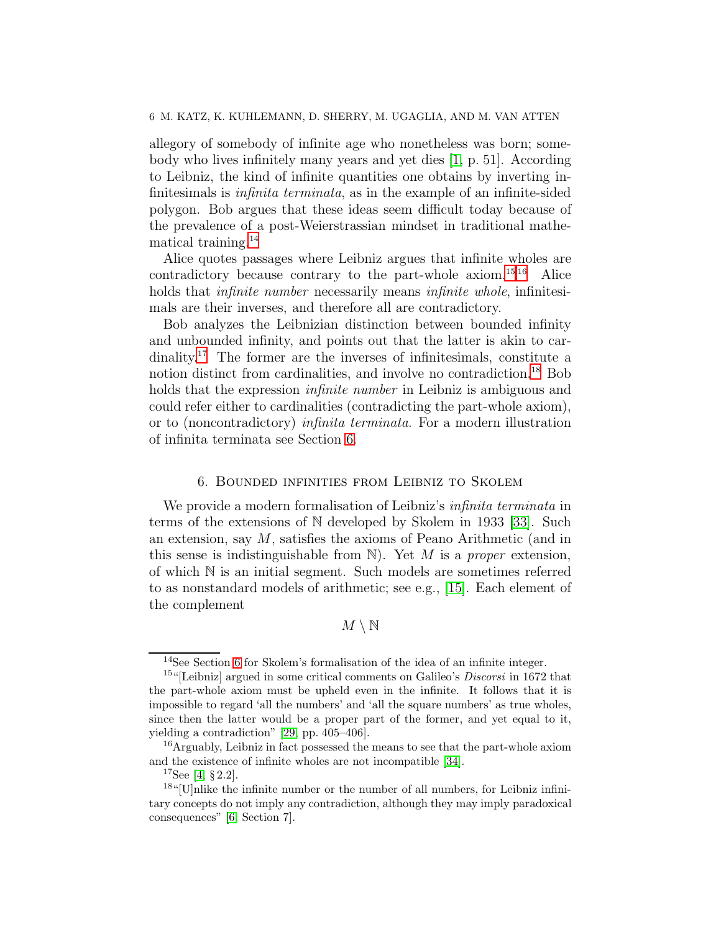allegory of somebody of infinite age who nonetheless was born; somebody who lives infinitely many years and yet dies [\[1,](#page-8-3) p. 51]. According to Leibniz, the kind of infinite quantities one obtains by inverting infinitesimals is infinita terminata, as in the example of an infinite-sided polygon. Bob argues that these ideas seem difficult today because of the prevalence of a post-Weierstrassian mindset in traditional mathematical training.[14](#page-5-1)

Alice quotes passages where Leibniz argues that infinite wholes are contradictory because contrary to the part-whole axiom.<sup>[15](#page-5-2) [16](#page-5-3)</sup> Alice holds that *infinite number* necessarily means *infinite whole*, infinitesimals are their inverses, and therefore all are contradictory.

Bob analyzes the Leibnizian distinction between bounded infinity and unbounded infinity, and points out that the latter is akin to cardinality.[17](#page-5-4) The former are the inverses of infinitesimals, constitute a notion distinct from cardinalities, and involve no contradiction.<sup>[18](#page-5-5)</sup> Bob holds that the expression *infinite number* in Leibniz is ambiguous and could refer either to cardinalities (contradicting the part-whole axiom), or to (noncontradictory) infinita terminata. For a modern illustration of infinita terminata see Section [6.](#page-5-0)

### 6. Bounded infinities from Leibniz to Skolem

<span id="page-5-0"></span>We provide a modern formalisation of Leibniz's *infinita terminata* in terms of the extensions of N developed by Skolem in 1933 [\[33\]](#page-10-8). Such an extension, say  $M$ , satisfies the axioms of Peano Arithmetic (and in this sense is indistinguishable from  $\mathbb N$ ). Yet M is a proper extension, of which N is an initial segment. Such models are sometimes referred to as nonstandard models of arithmetic; see e.g., [\[15\]](#page-9-12). Each element of the complement

# $M \setminus \mathbb{N}$

<span id="page-5-1"></span><sup>14</sup>See Section [6](#page-5-0) for Skolem's formalisation of the idea of an infinite integer.

<span id="page-5-2"></span><sup>&</sup>lt;sup>15"</sup>[Leibniz] argued in some critical comments on Galileo's *Discorsi* in 1672 that the part-whole axiom must be upheld even in the infinite. It follows that it is impossible to regard 'all the numbers' and 'all the square numbers' as true wholes, since then the latter would be a proper part of the former, and yet equal to it, yielding a contradiction" [\[29,](#page-10-4) pp. 405–406].

 $16$ Arguably, Leibniz in fact possessed the means to see that the part-whole axiom and the existence of infinite wholes are not incompatible [\[34\]](#page-10-9).

<span id="page-5-4"></span><span id="page-5-3"></span> $17$ See [\[4,](#page-9-9) § 2.2].

<span id="page-5-5"></span> $18$ "[U]nlike the infinite number or the number of all numbers, for Leibniz infinitary concepts do not imply any contradiction, although they may imply paradoxical consequences" [\[6,](#page-9-13) Section 7].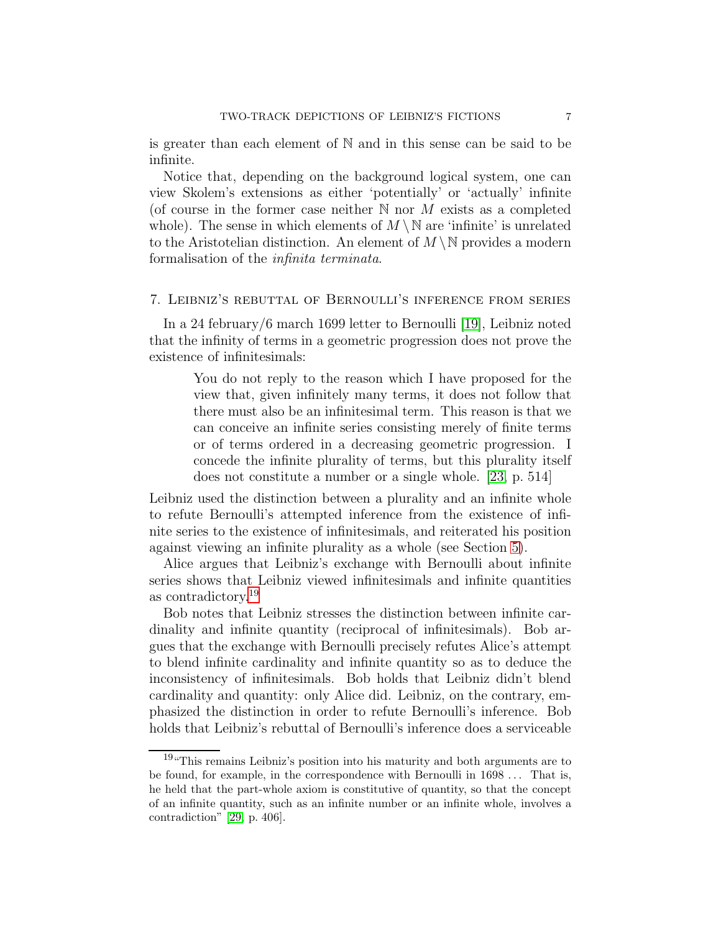is greater than each element of N and in this sense can be said to be infinite.

Notice that, depending on the background logical system, one can view Skolem's extensions as either 'potentially' or 'actually' infinite (of course in the former case neither  $N$  nor  $M$  exists as a completed whole). The sense in which elements of  $M \setminus \mathbb{N}$  are 'infinite' is unrelated to the Aristotelian distinction. An element of  $M \setminus \mathbb{N}$  provides a modern formalisation of the infinita terminata.

### <span id="page-6-0"></span>7. Leibniz's rebuttal of Bernoulli's inference from series

In a 24 february/6 march 1699 letter to Bernoulli [\[19\]](#page-9-14), Leibniz noted that the infinity of terms in a geometric progression does not prove the existence of infinitesimals:

> You do not reply to the reason which I have proposed for the view that, given infinitely many terms, it does not follow that there must also be an infinitesimal term. This reason is that we can conceive an infinite series consisting merely of finite terms or of terms ordered in a decreasing geometric progression. I concede the infinite plurality of terms, but this plurality itself does not constitute a number or a single whole. [\[23,](#page-10-10) p. 514]

Leibniz used the distinction between a plurality and an infinite whole to refute Bernoulli's attempted inference from the existence of infinite series to the existence of infinitesimals, and reiterated his position against viewing an infinite plurality as a whole (see Section [5\)](#page-4-1).

Alice argues that Leibniz's exchange with Bernoulli about infinite series shows that Leibniz viewed infinitesimals and infinite quantities as contradictory.[19](#page-6-1)

Bob notes that Leibniz stresses the distinction between infinite cardinality and infinite quantity (reciprocal of infinitesimals). Bob argues that the exchange with Bernoulli precisely refutes Alice's attempt to blend infinite cardinality and infinite quantity so as to deduce the inconsistency of infinitesimals. Bob holds that Leibniz didn't blend cardinality and quantity: only Alice did. Leibniz, on the contrary, emphasized the distinction in order to refute Bernoulli's inference. Bob holds that Leibniz's rebuttal of Bernoulli's inference does a serviceable

<span id="page-6-1"></span><sup>19</sup>"This remains Leibniz's position into his maturity and both arguments are to be found, for example, in the correspondence with Bernoulli in 1698 . . . That is, he held that the part-whole axiom is constitutive of quantity, so that the concept of an infinite quantity, such as an infinite number or an infinite whole, involves a contradiction" [\[29,](#page-10-4) p. 406].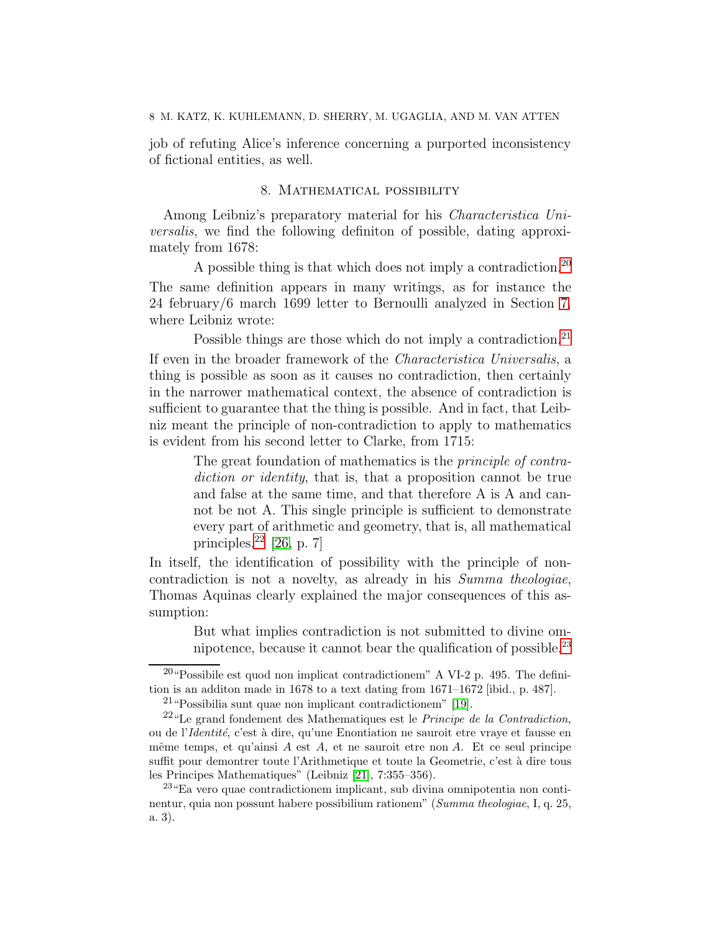<span id="page-7-0"></span>job of refuting Alice's inference concerning a purported inconsistency of fictional entities, as well.

# 8. Mathematical possibility

Among Leibniz's preparatory material for his *Characteristica Uni*versalis, we find the following definiton of possible, dating approximately from 1678:

A possible thing is that which does not imply a contradiction.[20](#page-7-1) The same definition appears in many writings, as for instance the 24 february/6 march 1699 letter to Bernoulli analyzed in Section [7,](#page-6-0) where Leibniz wrote:

Possible things are those which do not imply a contradiction.<sup>[21](#page-7-2)</sup> If even in the broader framework of the Characteristica Universalis, a thing is possible as soon as it causes no contradiction, then certainly in the narrower mathematical context, the absence of contradiction is sufficient to guarantee that the thing is possible. And in fact, that Leibniz meant the principle of non-contradiction to apply to mathematics is evident from his second letter to Clarke, from 1715:

> The great foundation of mathematics is the *principle of contra*diction or identity, that is, that a proposition cannot be true and false at the same time, and that therefore A is A and cannot be not A. This single principle is sufficient to demonstrate every part of arithmetic and geometry, that is, all mathematical principles. $^{22}$  $^{22}$  $^{22}$  [\[26,](#page-10-11) p. 7]

In itself, the identification of possibility with the principle of noncontradiction is not a novelty, as already in his Summa theologiae, Thomas Aquinas clearly explained the major consequences of this assumption:

> But what implies contradiction is not submitted to divine omnipotence, because it cannot bear the qualification of possible. $^{23}$  $^{23}$  $^{23}$

 $20 \text{``Possible est quod non implicit contradictionem'' A VI-2 p. 495. The defini$ tion is an additon made in 1678 to a text dating from 1671–1672 [ibid., p. 487].

<span id="page-7-2"></span><span id="page-7-1"></span><sup>21</sup>"Possibilia sunt quae non implicant contradictionem" [\[19\]](#page-9-14).

<span id="page-7-3"></span> $^{22}$ "Le grand fondement des Mathematiques est le *Principe de la Contradiction*, ou de l'Identité, c'est à dire, qu'une Enontiation ne sauroit etre vraye et fausse en même temps, et qu'ainsi  $A$  est  $A$ , et ne sauroit etre non  $A$ . Et ce seul principe suffit pour demontrer toute l'Arithmetique et toute la Geometrie, c'est à dire tous les Principes Mathematiques" (Leibniz [\[21\]](#page-10-12), 7:355–356).

<span id="page-7-4"></span><sup>23</sup>"Ea vero quae contradictionem implicant, sub divina omnipotentia non continentur, quia non possunt habere possibilium rationem" (Summa theologiae, I, q. 25, a. 3).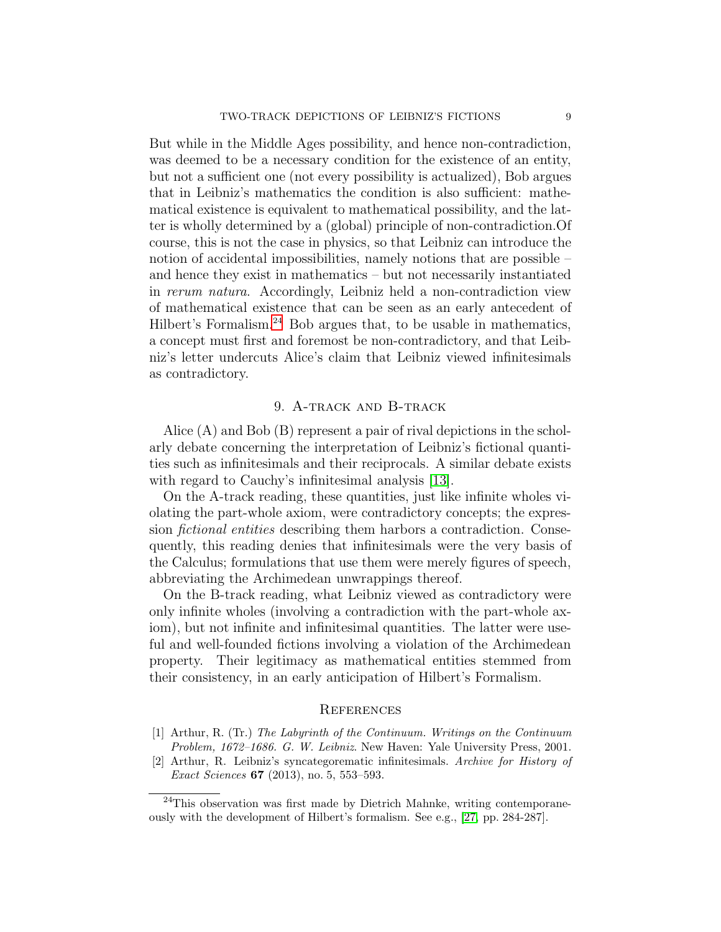But while in the Middle Ages possibility, and hence non-contradiction, was deemed to be a necessary condition for the existence of an entity, but not a sufficient one (not every possibility is actualized), Bob argues that in Leibniz's mathematics the condition is also sufficient: mathematical existence is equivalent to mathematical possibility, and the latter is wholly determined by a (global) principle of non-contradiction.Of course, this is not the case in physics, so that Leibniz can introduce the notion of accidental impossibilities, namely notions that are possible – and hence they exist in mathematics – but not necessarily instantiated in rerum natura. Accordingly, Leibniz held a non-contradiction view of mathematical existence that can be seen as an early antecedent of Hilbert's Formalism.<sup>[24](#page-8-4)</sup> Bob argues that, to be usable in mathematics, a concept must first and foremost be non-contradictory, and that Leibniz's letter undercuts Alice's claim that Leibniz viewed infinitesimals as contradictory.

# 9. A-track and B-track

<span id="page-8-0"></span>Alice (A) and Bob (B) represent a pair of rival depictions in the scholarly debate concerning the interpretation of Leibniz's fictional quantities such as infinitesimals and their reciprocals. A similar debate exists with regard to Cauchy's infinitesimal analysis [\[13\]](#page-9-15).

On the A-track reading, these quantities, just like infinite wholes violating the part-whole axiom, were contradictory concepts; the expression fictional entities describing them harbors a contradiction. Consequently, this reading denies that infinitesimals were the very basis of the Calculus; formulations that use them were merely figures of speech, abbreviating the Archimedean unwrappings thereof.

On the B-track reading, what Leibniz viewed as contradictory were only infinite wholes (involving a contradiction with the part-whole axiom), but not infinite and infinitesimal quantities. The latter were useful and well-founded fictions involving a violation of the Archimedean property. Their legitimacy as mathematical entities stemmed from their consistency, in an early anticipation of Hilbert's Formalism.

#### <span id="page-8-1"></span>**REFERENCES**

- <span id="page-8-3"></span>[1] Arthur, R. (Tr.) The Labyrinth of the Continuum. Writings on the Continuum Problem, 1672–1686. G. W. Leibniz. New Haven: Yale University Press, 2001.
- <span id="page-8-2"></span>[2] Arthur, R. Leibniz's syncategorematic infinitesimals. Archive for History of Exact Sciences 67 (2013), no. 5, 553–593.

<span id="page-8-4"></span> $24$ This observation was first made by Dietrich Mahnke, writing contemporaneously with the development of Hilbert's formalism. See e.g., [\[27,](#page-10-13) pp. 284-287].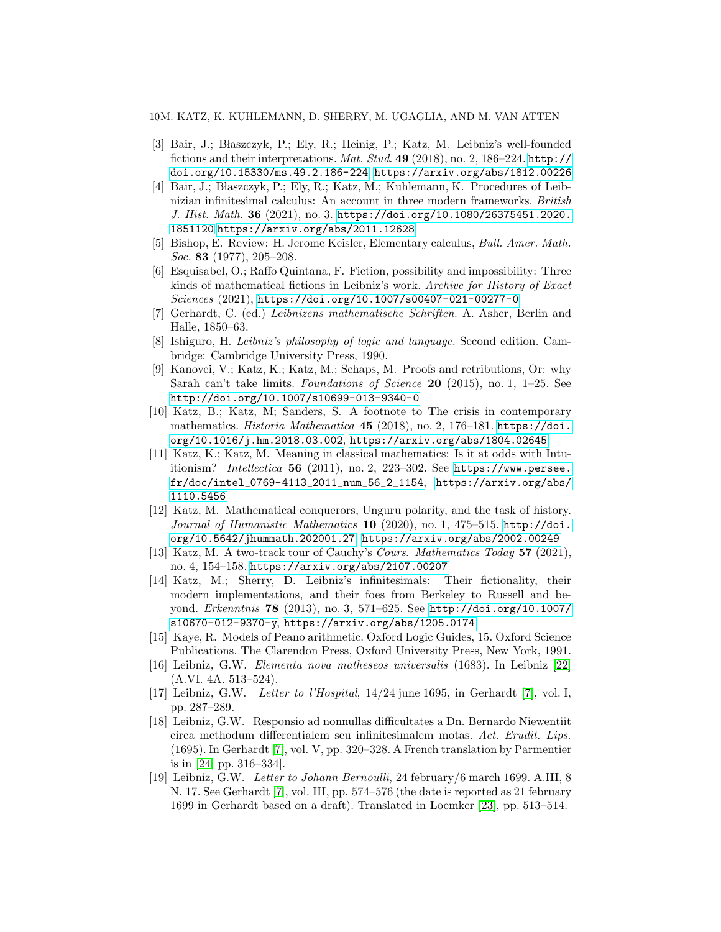#### <span id="page-9-11"></span>10M. KATZ, K. KUHLEMANN, D. SHERRY, M. UGAGLIA, AND M. VAN ATTEN

- [3] Bair, J.; Błaszczyk, P.; Ely, R.; Heinig, P.; Katz, M. Leibniz's well-founded fictions and their interpretations. Mat. Stud. 49 (2018), no. 2, 186–224. [http://](http://doi.org/10.15330/ms.49.2.186-224) [doi.org/10.15330/ms.49.2.186-224](http://doi.org/10.15330/ms.49.2.186-224), <https://arxiv.org/abs/1812.00226>
- <span id="page-9-9"></span>[4] Bair, J.; Błaszczyk, P.; Ely, R.; Katz, M.; Kuhlemann, K. Procedures of Leibnizian infinitesimal calculus: An account in three modern frameworks. British J. Hist. Math. 36 (2021), no. 3. [https://doi.org/10.1080/26375451.2020.](https://doi.org/10.1080/26375451.2020.1851120) [1851120](https://doi.org/10.1080/26375451.2020.1851120)<https://arxiv.org/abs/2011.12628>
- <span id="page-9-2"></span>[5] Bishop, E. Review: H. Jerome Keisler, Elementary calculus, Bull. Amer. Math. Soc. 83 (1977), 205–208.
- <span id="page-9-13"></span>[6] Esquisabel, O.; Raffo Quintana, F. Fiction, possibility and impossibility: Three kinds of mathematical fictions in Leibniz's work. Archive for History of Exact Sciences (2021), <https://doi.org/10.1007/s00407-021-00277-0>
- <span id="page-9-16"></span><span id="page-9-6"></span>[7] Gerhardt, C. (ed.) Leibnizens mathematische Schriften. A. Asher, Berlin and Halle, 1850–63.
- [8] Ishiguro, H. Leibniz's philosophy of logic and language. Second edition. Cambridge: Cambridge University Press, 1990.
- <span id="page-9-4"></span>[9] Kanovei, V.; Katz, K.; Katz, M.; Schaps, M. Proofs and retributions, Or: why Sarah can't take limits. Foundations of Science  $20$  (2015), no. 1, 1–25. See <http://doi.org/10.1007/s10699-013-9340-0>
- <span id="page-9-5"></span>[10] Katz, B.; Katz, M; Sanders, S. A footnote to The crisis in contemporary mathematics. Historia Mathematica 45 (2018), no. 2, 176–181. [https://doi.](https://doi.org/10.1016/j.hm.2018.03.002) [org/10.1016/j.hm.2018.03.002](https://doi.org/10.1016/j.hm.2018.03.002), <https://arxiv.org/abs/1804.02645>
- <span id="page-9-3"></span>[11] Katz, K.; Katz, M. Meaning in classical mathematics: Is it at odds with Intuitionism? Intellectica 56 (2011), no. 2, 223-302. See [https://www.persee.](https://www.persee.fr/doc/intel_0769-4113_2011_num_56_2_1154) [fr/doc/intel\\_0769-4113\\_2011\\_num\\_56\\_2\\_1154](https://www.persee.fr/doc/intel_0769-4113_2011_num_56_2_1154), [https://arxiv.org/abs/](https://arxiv.org/abs/1110.5456) [1110.5456](https://arxiv.org/abs/1110.5456)
- <span id="page-9-0"></span>[12] Katz, M. Mathematical conquerors, Unguru polarity, and the task of history. Journal of Humanistic Mathematics 10 (2020), no. 1, 475–515. [http://doi.](http://doi.org/10.5642/jhummath.202001.27) [org/10.5642/jhummath.202001.27](http://doi.org/10.5642/jhummath.202001.27), <https://arxiv.org/abs/2002.00249>
- <span id="page-9-15"></span>[13] Katz, M. A two-track tour of Cauchy's Cours. Mathematics Today 57 (2021), no. 4, 154–158. <https://arxiv.org/abs/2107.00207>
- <span id="page-9-10"></span>[14] Katz, M.; Sherry, D. Leibniz's infinitesimals: Their fictionality, their modern implementations, and their foes from Berkeley to Russell and beyond. Erkenntnis 78 (2013), no. 3, 571–625. See [http://doi.org/10.1007/](http://doi.org/10.1007/s10670-012-9370-y) [s10670-012-9370-y](http://doi.org/10.1007/s10670-012-9370-y), <https://arxiv.org/abs/1205.0174>
- <span id="page-9-12"></span>[15] Kaye, R. Models of Peano arithmetic. Oxford Logic Guides, 15. Oxford Science Publications. The Clarendon Press, Oxford University Press, New York, 1991.
- <span id="page-9-1"></span>[16] Leibniz, G.W. Elementa nova matheseos universalis (1683). In Leibniz [\[22\]](#page-10-5) (A.VI. 4A. 513–524).
- <span id="page-9-7"></span>[17] Leibniz, G.W. Letter to l'Hospital, 14/24 june 1695, in Gerhardt [\[7\]](#page-9-16), vol. I, pp. 287–289.
- <span id="page-9-8"></span>[18] Leibniz, G.W. Responsio ad nonnullas difficultates a Dn. Bernardo Niewentiit circa methodum differentialem seu infinitesimalem motas. Act. Erudit. Lips. (1695). In Gerhardt [\[7\]](#page-9-16), vol. V, pp. 320–328. A French translation by Parmentier is in [\[24,](#page-10-14) pp. 316–334].
- <span id="page-9-14"></span>[19] Leibniz, G.W. Letter to Johann Bernoulli, 24 february/6 march 1699. A.III, 8 N. 17. See Gerhardt [\[7\]](#page-9-16), vol. III, pp. 574–576 (the date is reported as 21 february 1699 in Gerhardt based on a draft). Translated in Loemker [\[23\]](#page-10-10), pp. 513–514.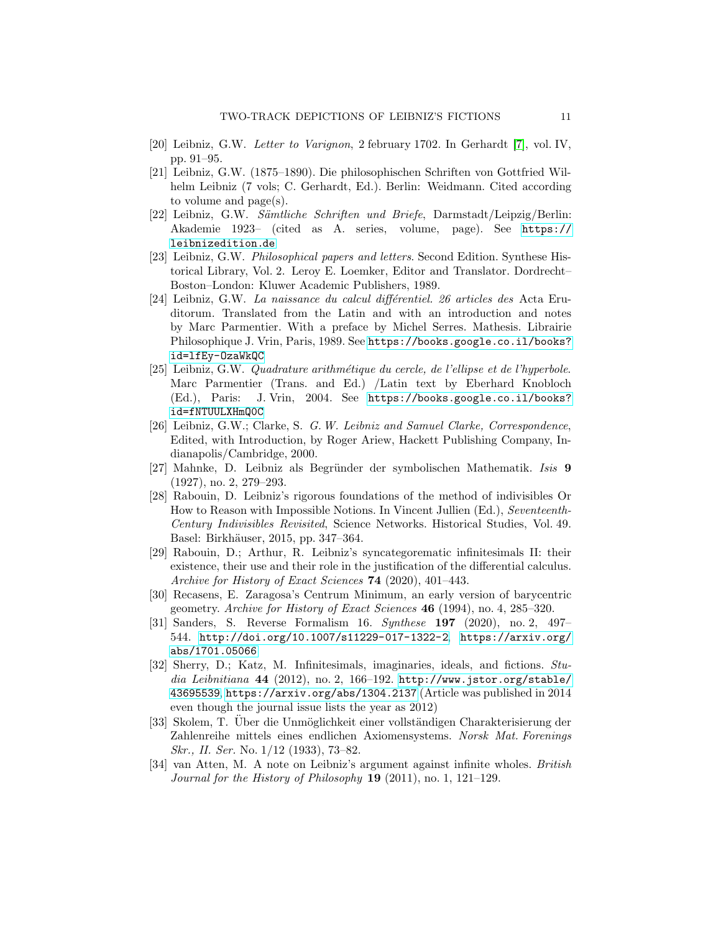- <span id="page-10-12"></span><span id="page-10-2"></span>[20] Leibniz, G.W. Letter to Varignon, 2 february 1702. In Gerhardt [\[7\]](#page-9-16), vol. IV, pp. 91–95.
- [21] Leibniz, G.W. (1875–1890). Die philosophischen Schriften von Gottfried Wilhelm Leibniz (7 vols; C. Gerhardt, Ed.). Berlin: Weidmann. Cited according to volume and page(s).
- <span id="page-10-5"></span>[22] Leibniz, G.W. Sämtliche Schriften und Briefe, Darmstadt/Leipzig/Berlin: Akademie 1923– (cited as A. series, volume, page). See [https://](https://leibnizedition.de) [leibnizedition.de](https://leibnizedition.de)
- <span id="page-10-10"></span>[23] Leibniz, G.W. Philosophical papers and letters. Second Edition. Synthese Historical Library, Vol. 2. Leroy E. Loemker, Editor and Translator. Dordrecht– Boston–London: Kluwer Academic Publishers, 1989.
- <span id="page-10-14"></span> $[24]$  Leibniz, G.W. La naissance du calcul différentiel. 26 articles des Acta Eruditorum. Translated from the Latin and with an introduction and notes by Marc Parmentier. With a preface by Michel Serres. Mathesis. Librairie Philosophique J. Vrin, Paris, 1989. See [https://books.google.co.il/books?](https://books.google.co.il/books?id=lfEy-OzaWkQC) [id=lfEy-OzaWkQC](https://books.google.co.il/books?id=lfEy-OzaWkQC)
- <span id="page-10-6"></span>[25] Leibniz, G.W. Quadrature arithm´etique du cercle, de l'ellipse et de l'hyperbole. Marc Parmentier (Trans. and Ed.) /Latin text by Eberhard Knobloch (Ed.), Paris: J. Vrin, 2004. See [https://books.google.co.il/books?](https://books.google.co.il/books?id=fNTUULXHmQ0C) [id=fNTUULXHmQ0C](https://books.google.co.il/books?id=fNTUULXHmQ0C)
- <span id="page-10-11"></span>[26] Leibniz, G.W.; Clarke, S. G.W. Leibniz and Samuel Clarke, Correspondence, Edited, with Introduction, by Roger Ariew, Hackett Publishing Company, Indianapolis/Cambridge, 2000.
- <span id="page-10-13"></span>[27] Mahnke, D. Leibniz als Begründer der symbolischen Mathematik. Isis 9 (1927), no. 2, 279–293.
- <span id="page-10-3"></span>[28] Rabouin, D. Leibniz's rigorous foundations of the method of indivisibles Or How to Reason with Impossible Notions. In Vincent Jullien (Ed.), Seventeenth-Century Indivisibles Revisited, Science Networks. Historical Studies, Vol. 49. Basel: Birkhäuser, 2015, pp. 347-364.
- <span id="page-10-4"></span>[29] Rabouin, D.; Arthur, R. Leibniz's syncategorematic infinitesimals II: their existence, their use and their role in the justification of the differential calculus. Archive for History of Exact Sciences **74** (2020), 401–443.
- <span id="page-10-0"></span>[30] Recasens, E. Zaragosa's Centrum Minimum, an early version of barycentric geometry. Archive for History of Exact Sciences 46 (1994), no. 4, 285-320.
- <span id="page-10-1"></span>[31] Sanders, S. Reverse Formalism 16. Synthese 197 (2020), no. 2, 497– 544. <http://doi.org/10.1007/s11229-017-1322-2>, [https://arxiv.org/](https://arxiv.org/abs/1701.05066) [abs/1701.05066](https://arxiv.org/abs/1701.05066)
- <span id="page-10-7"></span>[32] Sherry, D.; Katz, M. Infinitesimals, imaginaries, ideals, and fictions. Studia Leibnitiana 44 (2012), no. 2, 166-192. [http://www.jstor.org/stable/](http://www.jstor.org/stable/43695539) [43695539](http://www.jstor.org/stable/43695539), <https://arxiv.org/abs/1304.2137> (Article was published in 2014 even though the journal issue lists the year as 2012)
- <span id="page-10-8"></span>[33] Skolem, T. Uber die Unmöglichkeit einer vollständigen Charakterisierung der Zahlenreihe mittels eines endlichen Axiomensystems. Norsk Mat. Forenings Skr., II. Ser. No. 1/12 (1933), 73–82.
- <span id="page-10-9"></span>[34] van Atten, M. A note on Leibniz's argument against infinite wholes. British Journal for the History of Philosophy 19 (2011), no. 1, 121–129.